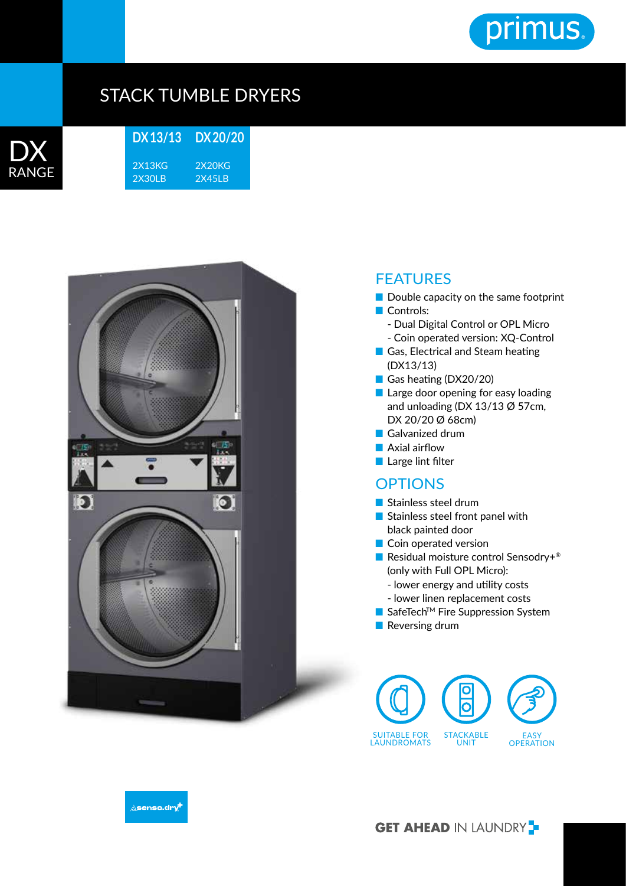

## STACK TUMBLE DRYERS



**DX 13/13** 2X13KG 2X30LB **DX 20/20** 2X20KG 2X45LB



## **FEATURES**

- Double capacity on the same footprint ■ Controls:
	- Dual Digital Control or OPL Micro - Coin operated version: XQ-Control
- Gas, Electrical and Steam heating (DX13/13)
- Gas heating (DX20/20)
- Large door opening for easy loading and unloading (DX 13/13 Ø 57cm, DX 20/20 Ø 68cm)
- Galvanized drum
- Axial airflow
- Large lint filter

## **OPTIONS**

- Stainless steel drum
- Stainless steel front panel with black painted door
- Coin operated version
- Residual moisture control Sensodry+<sup>®</sup> (only with Full OPL Micro):
	- lower energy and utility costs
	- lower linen replacement costs
- SafeTech<sup>™</sup> Fire Suppression System
- Reversing drum





**GET AHEAD IN LAUNDRY**